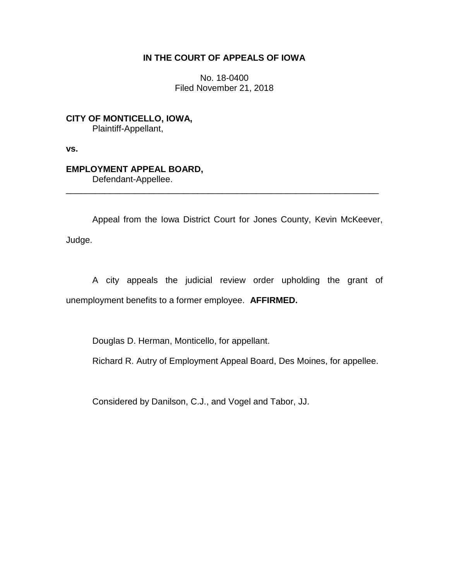# **IN THE COURT OF APPEALS OF IOWA**

No. 18-0400 Filed November 21, 2018

**CITY OF MONTICELLO, IOWA,** Plaintiff-Appellant,

**vs.**

# **EMPLOYMENT APPEAL BOARD,**

Defendant-Appellee.

Appeal from the Iowa District Court for Jones County, Kevin McKeever, Judge.

\_\_\_\_\_\_\_\_\_\_\_\_\_\_\_\_\_\_\_\_\_\_\_\_\_\_\_\_\_\_\_\_\_\_\_\_\_\_\_\_\_\_\_\_\_\_\_\_\_\_\_\_\_\_\_\_\_\_\_\_\_\_\_\_

A city appeals the judicial review order upholding the grant of unemployment benefits to a former employee. **AFFIRMED.**

Douglas D. Herman, Monticello, for appellant.

Richard R. Autry of Employment Appeal Board, Des Moines, for appellee.

Considered by Danilson, C.J., and Vogel and Tabor, JJ.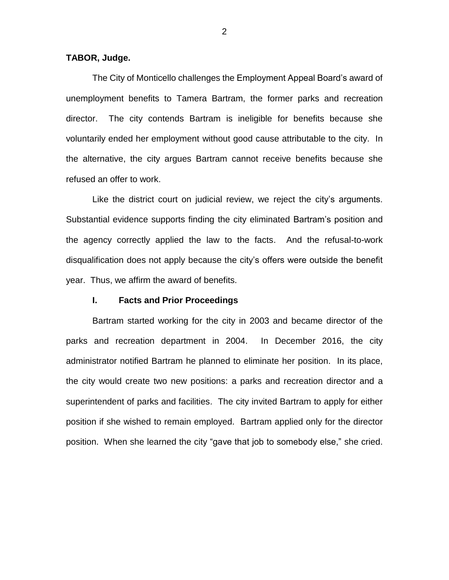## **TABOR, Judge.**

The City of Monticello challenges the Employment Appeal Board's award of unemployment benefits to Tamera Bartram, the former parks and recreation director. The city contends Bartram is ineligible for benefits because she voluntarily ended her employment without good cause attributable to the city. In the alternative, the city argues Bartram cannot receive benefits because she refused an offer to work.

Like the district court on judicial review, we reject the city's arguments. Substantial evidence supports finding the city eliminated Bartram's position and the agency correctly applied the law to the facts. And the refusal-to-work disqualification does not apply because the city's offers were outside the benefit year. Thus, we affirm the award of benefits.

#### **I. Facts and Prior Proceedings**

Bartram started working for the city in 2003 and became director of the parks and recreation department in 2004. In December 2016, the city administrator notified Bartram he planned to eliminate her position. In its place, the city would create two new positions: a parks and recreation director and a superintendent of parks and facilities. The city invited Bartram to apply for either position if she wished to remain employed. Bartram applied only for the director position. When she learned the city "gave that job to somebody else," she cried.

2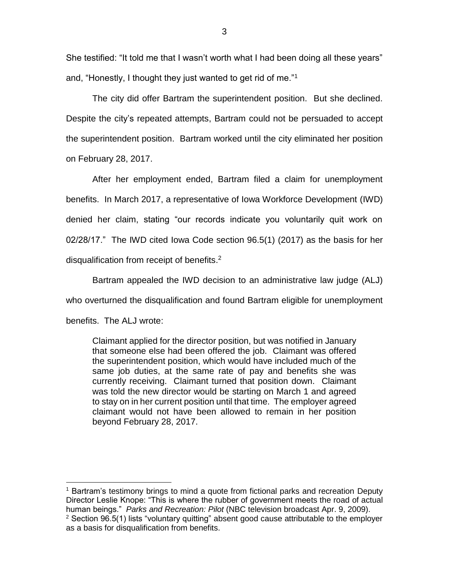She testified: "It told me that I wasn't worth what I had been doing all these years" and, "Honestly, I thought they just wanted to get rid of me."<sup>1</sup>

The city did offer Bartram the superintendent position. But she declined. Despite the city's repeated attempts, Bartram could not be persuaded to accept the superintendent position. Bartram worked until the city eliminated her position on February 28, 2017.

After her employment ended, Bartram filed a claim for unemployment benefits. In March 2017, a representative of Iowa Workforce Development (IWD) denied her claim, stating "our records indicate you voluntarily quit work on 02/28/17." The IWD cited Iowa Code section 96.5(1) (2017) as the basis for her disqualification from receipt of benefits.<sup>2</sup>

Bartram appealed the IWD decision to an administrative law judge (ALJ) who overturned the disqualification and found Bartram eligible for unemployment benefits. The ALJ wrote:

Claimant applied for the director position, but was notified in January that someone else had been offered the job. Claimant was offered the superintendent position, which would have included much of the same job duties, at the same rate of pay and benefits she was currently receiving. Claimant turned that position down. Claimant was told the new director would be starting on March 1 and agreed to stay on in her current position until that time. The employer agreed claimant would not have been allowed to remain in her position beyond February 28, 2017.

 $\overline{a}$ 

<sup>1</sup> Bartram's testimony brings to mind a quote from fictional parks and recreation Deputy Director Leslie Knope: "This is where the rubber of government meets the road of actual human beings." *Parks and Recreation: Pilot* (NBC television broadcast Apr. 9, 2009).  $2$  Section 96.5(1) lists "voluntary quitting" absent good cause attributable to the employer as a basis for disqualification from benefits.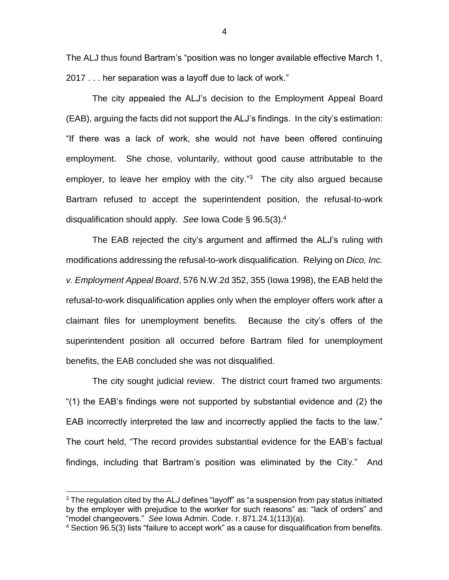The ALJ thus found Bartram's "position was no longer available effective March 1, 2017 . . . her separation was a layoff due to lack of work."

The city appealed the ALJ's decision to the Employment Appeal Board (EAB), arguing the facts did not support the ALJ's findings. In the city's estimation: "If there was a lack of work, she would not have been offered continuing employment. She chose, voluntarily, without good cause attributable to the employer, to leave her employ with the city."<sup>3</sup> The city also argued because Bartram refused to accept the superintendent position, the refusal-to-work disqualification should apply. *See* Iowa Code § 96.5(3).<sup>4</sup>

The EAB rejected the city's argument and affirmed the ALJ's ruling with modifications addressing the refusal-to-work disqualification. Relying on *Dico, Inc. v. Employment Appeal Board*, 576 N.W.2d 352, 355 (Iowa 1998), the EAB held the refusal-to-work disqualification applies only when the employer offers work after a claimant files for unemployment benefits. Because the city's offers of the superintendent position all occurred before Bartram filed for unemployment benefits, the EAB concluded she was not disqualified.

The city sought judicial review. The district court framed two arguments: "(1) the EAB's findings were not supported by substantial evidence and (2) the EAB incorrectly interpreted the law and incorrectly applied the facts to the law." The court held, "The record provides substantial evidence for the EAB's factual findings, including that Bartram's position was eliminated by the City." And

 $\overline{a}$ 

 $3$  The regulation cited by the ALJ defines "layoff" as "a suspension from pay status initiated by the employer with prejudice to the worker for such reasons" as: "lack of orders" and "model changeovers." *See* Iowa Admin. Code. r. 871.24.1(113)(a).

<sup>4</sup> Section 96.5(3) lists "failure to accept work" as a cause for disqualification from benefits.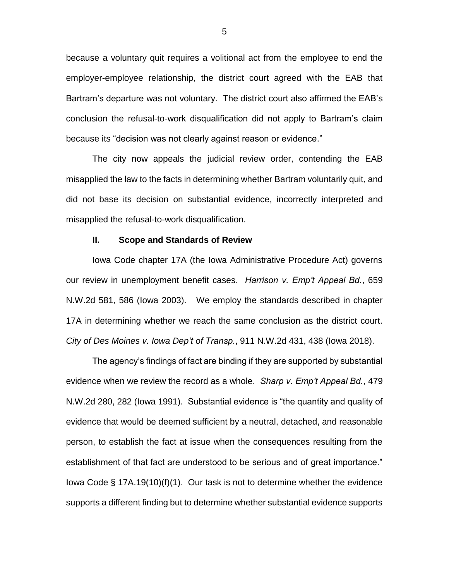because a voluntary quit requires a volitional act from the employee to end the employer-employee relationship, the district court agreed with the EAB that Bartram's departure was not voluntary. The district court also affirmed the EAB's conclusion the refusal-to-work disqualification did not apply to Bartram's claim because its "decision was not clearly against reason or evidence."

The city now appeals the judicial review order, contending the EAB misapplied the law to the facts in determining whether Bartram voluntarily quit, and did not base its decision on substantial evidence, incorrectly interpreted and misapplied the refusal-to-work disqualification.

### **II. Scope and Standards of Review**

Iowa Code chapter 17A (the Iowa Administrative Procedure Act) governs our review in unemployment benefit cases. *Harrison v. Emp't Appeal Bd.*, 659 N.W.2d 581, 586 (Iowa 2003). We employ the standards described in chapter 17A in determining whether we reach the same conclusion as the district court. *City of Des Moines v. Iowa Dep't of Transp.*, 911 N.W.2d 431, 438 (Iowa 2018).

The agency's findings of fact are binding if they are supported by substantial evidence when we review the record as a whole. *Sharp v. Emp't Appeal Bd.*, 479 N.W.2d 280, 282 (Iowa 1991). Substantial evidence is "the quantity and quality of evidence that would be deemed sufficient by a neutral, detached, and reasonable person, to establish the fact at issue when the consequences resulting from the establishment of that fact are understood to be serious and of great importance." Iowa Code § 17A.19(10)(f)(1). Our task is not to determine whether the evidence supports a different finding but to determine whether substantial evidence supports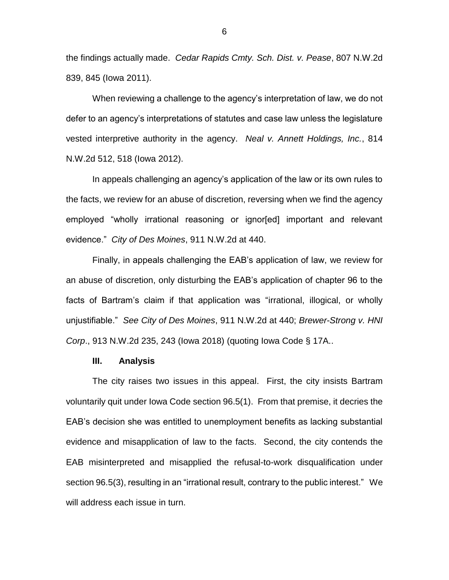the findings actually made. *Cedar Rapids Cmty. Sch. Dist. v. Pease*, 807 N.W.2d 839, 845 (Iowa 2011).

When reviewing a challenge to the agency's interpretation of law, we do not defer to an agency's interpretations of statutes and case law unless the legislature vested interpretive authority in the agency. *Neal v. Annett Holdings, Inc.*, 814 N.W.2d 512, 518 (Iowa 2012).

In appeals challenging an agency's application of the law or its own rules to the facts, we review for an abuse of discretion, reversing when we find the agency employed "wholly irrational reasoning or ignor[ed] important and relevant evidence." *City of Des Moines*, 911 N.W.2d at 440.

Finally, in appeals challenging the EAB's application of law, we review for an abuse of discretion, only disturbing the EAB's application of chapter 96 to the facts of Bartram's claim if that application was "irrational, illogical, or wholly unjustifiable." *See City of Des Moines*, 911 N.W.2d at 440; *Brewer-Strong v. HNI Corp*., 913 N.W.2d 235, 243 (Iowa 2018) (quoting Iowa Code § 17A..

#### **III. Analysis**

The city raises two issues in this appeal. First, the city insists Bartram voluntarily quit under Iowa Code section 96.5(1). From that premise, it decries the EAB's decision she was entitled to unemployment benefits as lacking substantial evidence and misapplication of law to the facts. Second, the city contends the EAB misinterpreted and misapplied the refusal-to-work disqualification under section 96.5(3), resulting in an "irrational result, contrary to the public interest." We will address each issue in turn.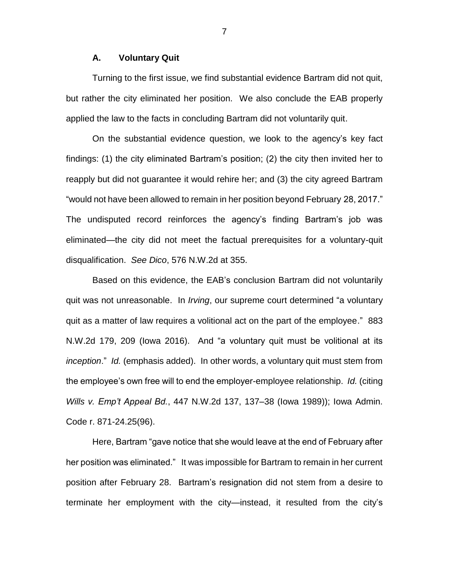### **A. Voluntary Quit**

Turning to the first issue, we find substantial evidence Bartram did not quit, but rather the city eliminated her position. We also conclude the EAB properly applied the law to the facts in concluding Bartram did not voluntarily quit.

On the substantial evidence question, we look to the agency's key fact findings: (1) the city eliminated Bartram's position; (2) the city then invited her to reapply but did not guarantee it would rehire her; and (3) the city agreed Bartram "would not have been allowed to remain in her position beyond February 28, 2017." The undisputed record reinforces the agency's finding Bartram's job was eliminated—the city did not meet the factual prerequisites for a voluntary-quit disqualification. *See Dico*, 576 N.W.2d at 355.

Based on this evidence, the EAB's conclusion Bartram did not voluntarily quit was not unreasonable. In *Irving*, our supreme court determined "a voluntary quit as a matter of law requires a volitional act on the part of the employee." 883 N.W.2d 179, 209 (Iowa 2016). And "a voluntary quit must be volitional at its *inception*." *Id.* (emphasis added). In other words, a voluntary quit must stem from the employee's own free will to end the employer-employee relationship. *Id.* (citing *Wills v. Emp't Appeal Bd.*, 447 N.W.2d 137, 137–38 (Iowa 1989)); Iowa Admin. Code r. 871-24.25(96).

Here, Bartram "gave notice that she would leave at the end of February after her position was eliminated." It was impossible for Bartram to remain in her current position after February 28. Bartram's resignation did not stem from a desire to terminate her employment with the city—instead, it resulted from the city's

7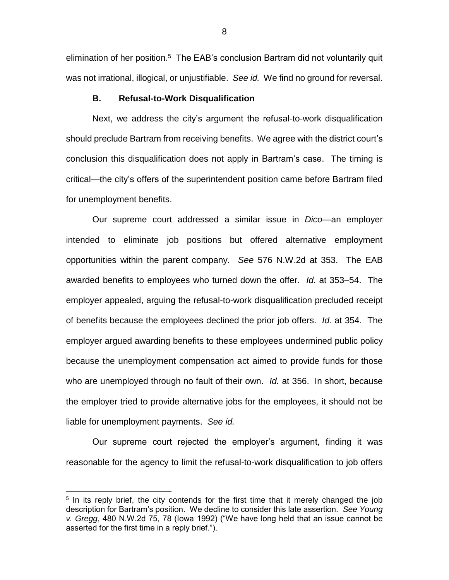elimination of her position.<sup>5</sup> The EAB's conclusion Bartram did not voluntarily quit was not irrational, illogical, or unjustifiable. *See id.* We find no ground for reversal.

#### **B. Refusal-to-Work Disqualification**

Next, we address the city's argument the refusal-to-work disqualification should preclude Bartram from receiving benefits. We agree with the district court's conclusion this disqualification does not apply in Bartram's case. The timing is critical—the city's offers of the superintendent position came before Bartram filed for unemployment benefits.

Our supreme court addressed a similar issue in *Dico*—an employer intended to eliminate job positions but offered alternative employment opportunities within the parent company. *See* 576 N.W.2d at 353. The EAB awarded benefits to employees who turned down the offer. *Id.* at 353–54. The employer appealed, arguing the refusal-to-work disqualification precluded receipt of benefits because the employees declined the prior job offers. *Id.* at 354. The employer argued awarding benefits to these employees undermined public policy because the unemployment compensation act aimed to provide funds for those who are unemployed through no fault of their own. *Id.* at 356. In short, because the employer tried to provide alternative jobs for the employees, it should not be liable for unemployment payments. *See id.* 

Our supreme court rejected the employer's argument, finding it was reasonable for the agency to limit the refusal-to-work disqualification to job offers

 $\overline{a}$ 

8

<sup>&</sup>lt;sup>5</sup> In its reply brief, the city contends for the first time that it merely changed the job description for Bartram's position. We decline to consider this late assertion. *See Young v. Gregg*, 480 N.W.2d 75, 78 (Iowa 1992) ("We have long held that an issue cannot be asserted for the first time in a reply brief.").